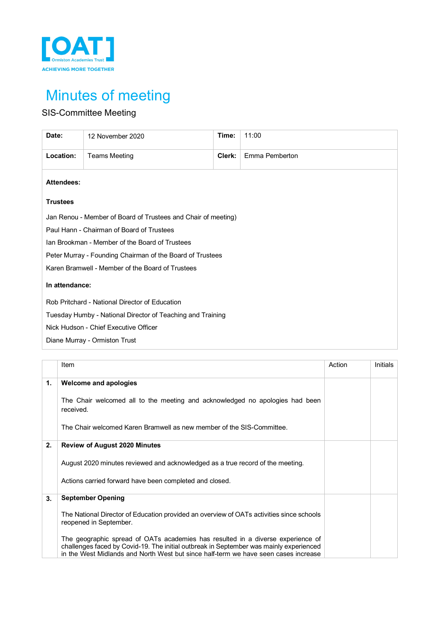

# Minutes of meeting

# SIS-Committee Meeting

| Date:                                                         | 12 November 2020                                           | Time:  | 11:00          |  |  |  |  |  |
|---------------------------------------------------------------|------------------------------------------------------------|--------|----------------|--|--|--|--|--|
| Location:                                                     | <b>Teams Meeting</b>                                       | Clerk: | Emma Pemberton |  |  |  |  |  |
| <b>Attendees:</b>                                             |                                                            |        |                |  |  |  |  |  |
| <b>Trustees</b>                                               |                                                            |        |                |  |  |  |  |  |
| Jan Renou - Member of Board of Trustees and Chair of meeting) |                                                            |        |                |  |  |  |  |  |
| Paul Hann - Chairman of Board of Trustees                     |                                                            |        |                |  |  |  |  |  |
| Ian Brookman - Member of the Board of Trustees                |                                                            |        |                |  |  |  |  |  |
| Peter Murray - Founding Chairman of the Board of Trustees     |                                                            |        |                |  |  |  |  |  |
| Karen Bramwell - Member of the Board of Trustees              |                                                            |        |                |  |  |  |  |  |
| In attendance:                                                |                                                            |        |                |  |  |  |  |  |
| Rob Pritchard - National Director of Education                |                                                            |        |                |  |  |  |  |  |
|                                                               | Tuesday Humby - National Director of Teaching and Training |        |                |  |  |  |  |  |
|                                                               | Nick Hudson - Chief Executive Officer                      |        |                |  |  |  |  |  |
|                                                               | Diane Murray - Ormiston Trust                              |        |                |  |  |  |  |  |

|    | Item                                                                                                                                                                                                                                                             | Action | Initials |
|----|------------------------------------------------------------------------------------------------------------------------------------------------------------------------------------------------------------------------------------------------------------------|--------|----------|
| 1. | Welcome and apologies                                                                                                                                                                                                                                            |        |          |
|    | The Chair welcomed all to the meeting and acknowledged no apologies had been<br>received.                                                                                                                                                                        |        |          |
|    | The Chair welcomed Karen Bramwell as new member of the SIS-Committee.                                                                                                                                                                                            |        |          |
| 2. | <b>Review of August 2020 Minutes</b>                                                                                                                                                                                                                             |        |          |
|    | August 2020 minutes reviewed and acknowledged as a true record of the meeting.                                                                                                                                                                                   |        |          |
|    | Actions carried forward have been completed and closed.                                                                                                                                                                                                          |        |          |
| 3. | <b>September Opening</b>                                                                                                                                                                                                                                         |        |          |
|    | The National Director of Education provided an overview of OATs activities since schools<br>reopened in September.                                                                                                                                               |        |          |
|    | The geographic spread of OATs academies has resulted in a diverse experience of<br>challenges faced by Covid-19. The initial outbreak in September was mainly experienced<br>in the West Midlands and North West but since half-term we have seen cases increase |        |          |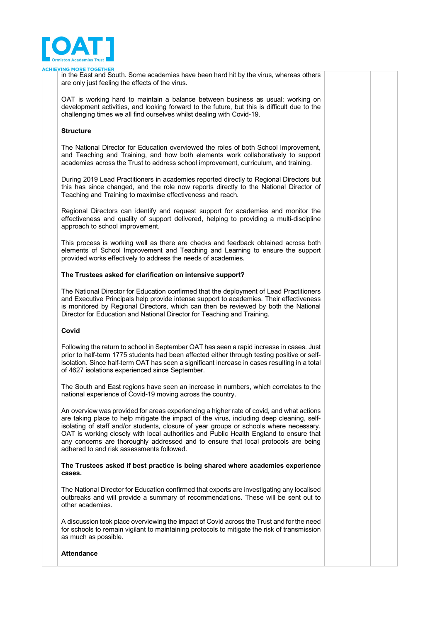

**ING MORE TOGETHER** 

in the East and South. Some academies have been hard hit by the virus, whereas others are only just feeling the effects of the virus.

OAT is working hard to maintain a balance between business as usual; working on development activities, and looking forward to the future, but this is difficult due to the challenging times we all find ourselves whilst dealing with Covid-19.

#### **Structure**

The National Director for Education overviewed the roles of both School Improvement, and Teaching and Training, and how both elements work collaboratively to support academies across the Trust to address school improvement, curriculum, and training.

During 2019 Lead Practitioners in academies reported directly to Regional Directors but this has since changed, and the role now reports directly to the National Director of Teaching and Training to maximise effectiveness and reach.

Regional Directors can identify and request support for academies and monitor the effectiveness and quality of support delivered, helping to providing a multi-discipline approach to school improvement.

This process is working well as there are checks and feedback obtained across both elements of School Improvement and Teaching and Learning to ensure the support provided works effectively to address the needs of academies.

#### **The Trustees asked for clarification on intensive support?**

The National Director for Education confirmed that the deployment of Lead Practitioners and Executive Principals help provide intense support to academies. Their effectiveness is monitored by Regional Directors, which can then be reviewed by both the National Director for Education and National Director for Teaching and Training.

#### **Covid**

Following the return to school in September OAT has seen a rapid increase in cases. Just prior to half-term 1775 students had been affected either through testing positive or selfisolation. Since half-term OAT has seen a significant increase in cases resulting in a total of 4627 isolations experienced since September.

The South and East regions have seen an increase in numbers, which correlates to the national experience of Covid-19 moving across the country.

An overview was provided for areas experiencing a higher rate of covid, and what actions are taking place to help mitigate the impact of the virus, including deep cleaning, selfisolating of staff and/or students, closure of year groups or schools where necessary. OAT is working closely with local authorities and Public Health England to ensure that any concerns are thoroughly addressed and to ensure that local protocols are being adhered to and risk assessments followed.

#### **The Trustees asked if best practice is being shared where academies experience cases.**

The National Director for Education confirmed that experts are investigating any localised outbreaks and will provide a summary of recommendations. These will be sent out to other academies.

A discussion took place overviewing the impact of Covid across the Trust and for the need for schools to remain vigilant to maintaining protocols to mitigate the risk of transmission as much as possible.

#### **Attendance**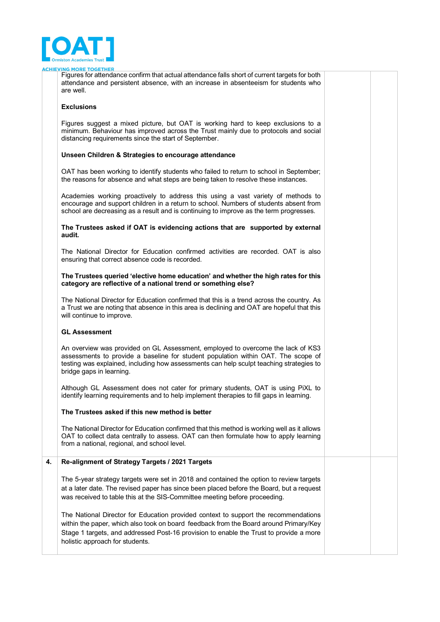

#### **NG MORE TOGETHER**

Figures for attendance confirm that actual attendance falls short of current targets for both attendance and persistent absence, with an increase in absenteeism for students who are well.

#### **Exclusions**

Figures suggest a mixed picture, but OAT is working hard to keep exclusions to a minimum. Behaviour has improved across the Trust mainly due to protocols and social distancing requirements since the start of September.

#### **Unseen Children & Strategies to encourage attendance**

OAT has been working to identify students who failed to return to school in September; the reasons for absence and what steps are being taken to resolve these instances.

Academies working proactively to address this using a vast variety of methods to encourage and support children in a return to school. Numbers of students absent from school are decreasing as a result and is continuing to improve as the term progresses.

**The Trustees asked if OAT is evidencing actions that are supported by external audit.**

The National Director for Education confirmed activities are recorded. OAT is also ensuring that correct absence code is recorded.

#### **The Trustees queried 'elective home education' and whether the high rates for this category are reflective of a national trend or something else?**

The National Director for Education confirmed that this is a trend across the country. As a Trust we are noting that absence in this area is declining and OAT are hopeful that this will continue to improve.

#### **GL Assessment**

An overview was provided on GL Assessment, employed to overcome the lack of KS3 assessments to provide a baseline for student population within OAT. The scope of testing was explained, including how assessments can help sculpt teaching strategies to bridge gaps in learning.

Although GL Assessment does not cater for primary students, OAT is using PiXL to identify learning requirements and to help implement therapies to fill gaps in learning.

#### **The Trustees asked if this new method is better**

The National Director for Education confirmed that this method is working well as it allows OAT to collect data centrally to assess. OAT can then formulate how to apply learning from a national, regional, and school level.

#### **4. Re-alignment of Strategy Targets / 2021 Targets**

The 5-year strategy targets were set in 2018 and contained the option to review targets at a later date. The revised paper has since been placed before the Board, but a request was received to table this at the SIS-Committee meeting before proceeding.

The National Director for Education provided context to support the recommendations within the paper, which also took on board feedback from the Board around Primary/Key Stage 1 targets, and addressed Post-16 provision to enable the Trust to provide a more holistic approach for students.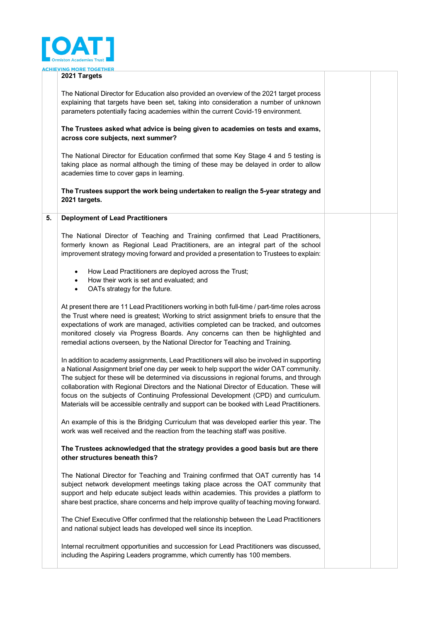

#### **2021 Targets**

The National Director for Education also provided an overview of the 2021 target process explaining that targets have been set, taking into consideration a number of unknown parameters potentially facing academies within the current Covid-19 environment.

### **The Trustees asked what advice is being given to academies on tests and exams, across core subjects, next summer?**

The National Director for Education confirmed that some Key Stage 4 and 5 testing is taking place as normal although the timing of these may be delayed in order to allow academies time to cover gaps in learning.

**The Trustees support the work being undertaken to realign the 5-year strategy and 2021 targets.** 

#### **5. Deployment of Lead Practitioners**

The National Director of Teaching and Training confirmed that Lead Practitioners, formerly known as Regional Lead Practitioners, are an integral part of the school improvement strategy moving forward and provided a presentation to Trustees to explain:

- How Lead Practitioners are deployed across the Trust;
- How their work is set and evaluated; and
- OATs strategy for the future.

At present there are 11 Lead Practitioners working in both full-time / part-time roles across the Trust where need is greatest; Working to strict assignment briefs to ensure that the expectations of work are managed, activities completed can be tracked, and outcomes monitored closely via Progress Boards. Any concerns can then be highlighted and remedial actions overseen, by the National Director for Teaching and Training.

In addition to academy assignments, Lead Practitioners will also be involved in supporting a National Assignment brief one day per week to help support the wider OAT community. The subject for these will be determined via discussions in regional forums, and through collaboration with Regional Directors and the National Director of Education. These will focus on the subjects of Continuing Professional Development (CPD) and curriculum. Materials will be accessible centrally and support can be booked with Lead Practitioners.

An example of this is the Bridging Curriculum that was developed earlier this year. The work was well received and the reaction from the teaching staff was positive.

# **The Trustees acknowledged that the strategy provides a good basis but are there other structures beneath this?**

The National Director for Teaching and Training confirmed that OAT currently has 14 subject network development meetings taking place across the OAT community that support and help educate subject leads within academies. This provides a platform to share best practice, share concerns and help improve quality of teaching moving forward.

The Chief Executive Offer confirmed that the relationship between the Lead Practitioners and national subject leads has developed well since its inception.

Internal recruitment opportunities and succession for Lead Practitioners was discussed, including the Aspiring Leaders programme, which currently has 100 members.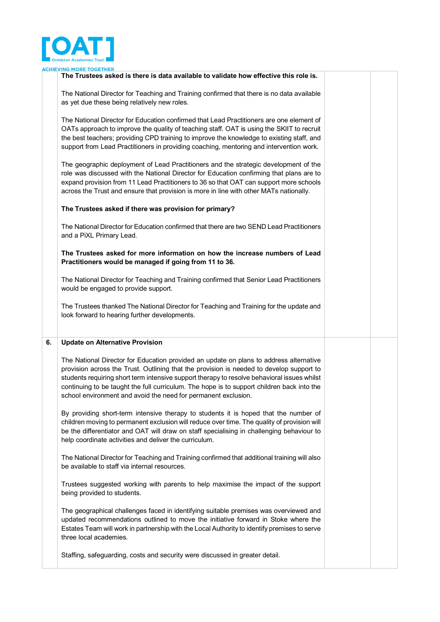

|    | <u>ORE TOGETHER</u><br>The Trustees asked is there is data available to validate how effective this role is.                                                                                                                                                                                                                                                                                                                                      |  |
|----|---------------------------------------------------------------------------------------------------------------------------------------------------------------------------------------------------------------------------------------------------------------------------------------------------------------------------------------------------------------------------------------------------------------------------------------------------|--|
|    | The National Director for Teaching and Training confirmed that there is no data available<br>as yet due these being relatively new roles.                                                                                                                                                                                                                                                                                                         |  |
|    | The National Director for Education confirmed that Lead Practitioners are one element of<br>OATs approach to improve the quality of teaching staff. OAT is using the SKIIT to recruit<br>the best teachers; providing CPD training to improve the knowledge to existing staff, and<br>support from Lead Practitioners in providing coaching, mentoring and intervention work.                                                                     |  |
|    | The geographic deployment of Lead Practitioners and the strategic development of the<br>role was discussed with the National Director for Education confirming that plans are to<br>expand provision from 11 Lead Practitioners to 36 so that OAT can support more schools<br>across the Trust and ensure that provision is more in line with other MATs nationally.                                                                              |  |
|    | The Trustees asked if there was provision for primary?                                                                                                                                                                                                                                                                                                                                                                                            |  |
|    | The National Director for Education confirmed that there are two SEND Lead Practitioners<br>and a PiXL Primary Lead.                                                                                                                                                                                                                                                                                                                              |  |
|    | The Trustees asked for more information on how the increase numbers of Lead<br>Practitioners would be managed if going from 11 to 36.                                                                                                                                                                                                                                                                                                             |  |
|    | The National Director for Teaching and Training confirmed that Senior Lead Practitioners<br>would be engaged to provide support.                                                                                                                                                                                                                                                                                                                  |  |
|    | The Trustees thanked The National Director for Teaching and Training for the update and<br>look forward to hearing further developments.                                                                                                                                                                                                                                                                                                          |  |
| 6. | <b>Update on Alternative Provision</b>                                                                                                                                                                                                                                                                                                                                                                                                            |  |
|    | The National Director for Education provided an update on plans to address alternative<br>provision across the Trust. Outlining that the provision is needed to develop support to<br>students requiring short term intensive support therapy to resolve behavioral issues whilst<br>continuing to be taught the full curriculum. The hope is to support children back into the<br>school environment and avoid the need for permanent exclusion. |  |
|    | By providing short-term intensive therapy to students it is hoped that the number of<br>children moving to permanent exclusion will reduce over time. The quality of provision will<br>be the differentiator and OAT will draw on staff specialising in challenging behaviour to<br>help coordinate activities and deliver the curriculum.                                                                                                        |  |
|    | The National Director for Teaching and Training confirmed that additional training will also<br>be available to staff via internal resources.                                                                                                                                                                                                                                                                                                     |  |
|    | Trustees suggested working with parents to help maximise the impact of the support<br>being provided to students.                                                                                                                                                                                                                                                                                                                                 |  |
|    | The geographical challenges faced in identifying suitable premises was overviewed and<br>updated recommendations outlined to move the initiative forward in Stoke where the<br>Estates Team will work in partnership with the Local Authority to identify premises to serve<br>three local academies.                                                                                                                                             |  |
|    |                                                                                                                                                                                                                                                                                                                                                                                                                                                   |  |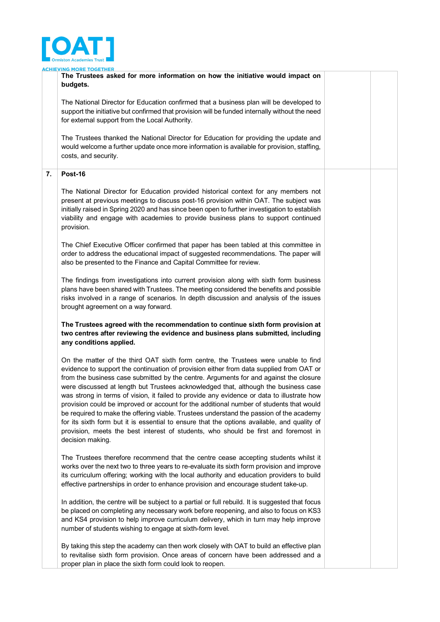

**NG MORE TOGETHER** 

**The Trustees asked for more information on how the initiative would impact on budgets.** The National Director for Education confirmed that a business plan will be developed to support the initiative but confirmed that provision will be funded internally without the need for external support from the Local Authority. The Trustees thanked the National Director for Education for providing the update and would welcome a further update once more information is available for provision, staffing, costs, and security. **7. Post-16** The National Director for Education provided historical context for any members not present at previous meetings to discuss post-16 provision within OAT. The subject was initially raised in Spring 2020 and has since been open to further investigation to establish viability and engage with academies to provide business plans to support continued provision. The Chief Executive Officer confirmed that paper has been tabled at this committee in order to address the educational impact of suggested recommendations. The paper will also be presented to the Finance and Capital Committee for review. The findings from investigations into current provision along with sixth form business plans have been shared with Trustees. The meeting considered the benefits and possible risks involved in a range of scenarios. In depth discussion and analysis of the issues brought agreement on a way forward. **The Trustees agreed with the recommendation to continue sixth form provision at two centres after reviewing the evidence and business plans submitted, including any conditions applied.** On the matter of the third OAT sixth form centre, the Trustees were unable to find evidence to support the continuation of provision either from data supplied from OAT or from the business case submitted by the centre. Arguments for and against the closure were discussed at length but Trustees acknowledged that, although the business case was strong in terms of vision, it failed to provide any evidence or data to illustrate how provision could be improved or account for the additional number of students that would be required to make the offering viable. Trustees understand the passion of the academy for its sixth form but it is essential to ensure that the options available, and quality of provision, meets the best interest of students, who should be first and foremost in decision making. The Trustees therefore recommend that the centre cease accepting students whilst it works over the next two to three years to re-evaluate its sixth form provision and improve its curriculum offering; working with the local authority and education providers to build effective partnerships in order to enhance provision and encourage student take-up. In addition, the centre will be subject to a partial or full rebuild. It is suggested that focus be placed on completing any necessary work before reopening, and also to focus on KS3 and KS4 provision to help improve curriculum delivery, which in turn may help improve number of students wishing to engage at sixth-form level.

By taking this step the academy can then work closely with OAT to build an effective plan to revitalise sixth form provision. Once areas of concern have been addressed and a proper plan in place the sixth form could look to reopen.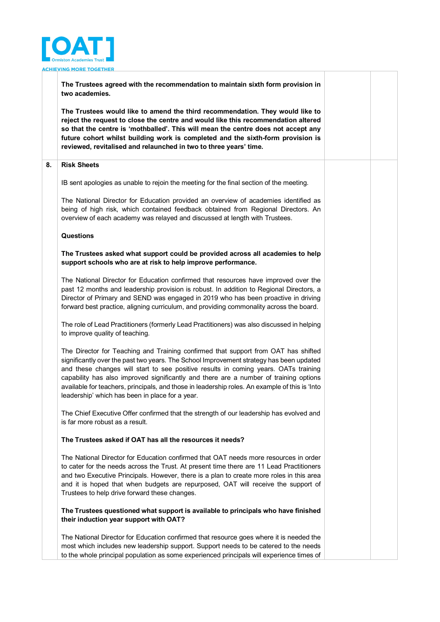

**The Trustees agreed with the recommendation to maintain sixth form provision in two academies.**

**The Trustees would like to amend the third recommendation. They would like to reject the request to close the centre and would like this recommendation altered so that the centre is 'mothballed'. This will mean the centre does not accept any future cohort whilst building work is completed and the sixth-form provision is reviewed, revitalised and relaunched in two to three years' time.** 

# **8. Risk Sheets**

IB sent apologies as unable to rejoin the meeting for the final section of the meeting.

The National Director for Education provided an overview of academies identified as being of high risk, which contained feedback obtained from Regional Directors. An overview of each academy was relayed and discussed at length with Trustees.

# **Questions**

**The Trustees asked what support could be provided across all academies to help support schools who are at risk to help improve performance.** 

The National Director for Education confirmed that resources have improved over the past 12 months and leadership provision is robust. In addition to Regional Directors, a Director of Primary and SEND was engaged in 2019 who has been proactive in driving forward best practice, aligning curriculum, and providing commonality across the board.

The role of Lead Practitioners (formerly Lead Practitioners) was also discussed in helping to improve quality of teaching.

The Director for Teaching and Training confirmed that support from OAT has shifted significantly over the past two years. The School Improvement strategy has been updated and these changes will start to see positive results in coming years. OATs training capability has also improved significantly and there are a number of training options available for teachers, principals, and those in leadership roles. An example of this is 'Into leadership' which has been in place for a year.

The Chief Executive Offer confirmed that the strength of our leadership has evolved and is far more robust as a result.

# **The Trustees asked if OAT has all the resources it needs?**

The National Director for Education confirmed that OAT needs more resources in order to cater for the needs across the Trust. At present time there are 11 Lead Practitioners and two Executive Principals. However, there is a plan to create more roles in this area and it is hoped that when budgets are repurposed, OAT will receive the support of Trustees to help drive forward these changes.

# **The Trustees questioned what support is available to principals who have finished their induction year support with OAT?**

The National Director for Education confirmed that resource goes where it is needed the most which includes new leadership support. Support needs to be catered to the needs to the whole principal population as some experienced principals will experience times of